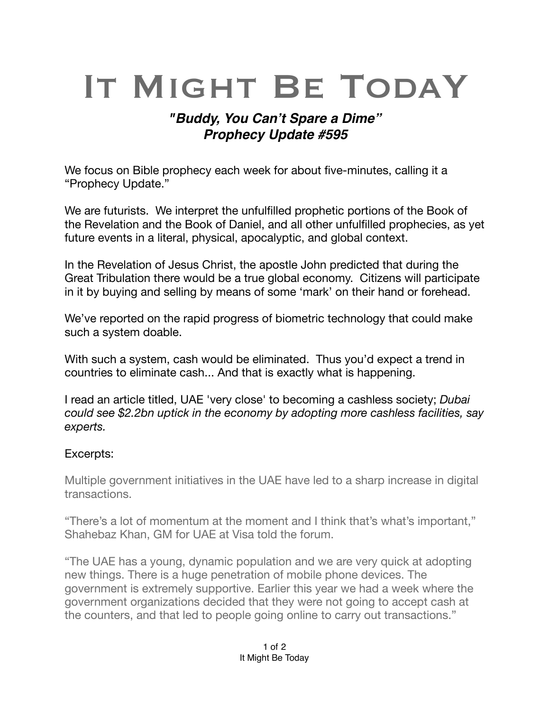## IT MIGHT BE TODAY

## *"Buddy, You Can't Spare a Dime" Prophecy Update #595*

We focus on Bible prophecy each week for about five-minutes, calling it a "Prophecy Update."

We are futurists. We interpret the unfulfilled prophetic portions of the Book of the Revelation and the Book of Daniel, and all other unfulfilled prophecies, as yet future events in a literal, physical, [apocalyptic,](https://en.m.wikipedia.org/wiki/Apocalypticism) and global context.

In the Revelation of Jesus Christ, the apostle John predicted that during the Great Tribulation there would be a true global economy. Citizens will participate in it by buying and selling by means of some 'mark' on their hand or forehead.

We've reported on the rapid progress of biometric technology that could make such a system doable.

With such a system, cash would be eliminated. Thus you'd expect a trend in countries to eliminate cash... And that is exactly what is happening.

I read an article titled, UAE 'very close' to becoming a cashless society; *Dubai could see \$2.2bn uptick in the economy by adopting more cashless facilities, say experts.* 

## Excerpts:

Multiple government initiatives in the UAE have led to a sharp increase in digital transactions.

"There's a lot of momentum at the moment and I think that's what's important," Shahebaz Khan, GM for UAE at Visa told the forum.

"The UAE has a young, dynamic population and we are very quick at adopting new things. There is a huge penetration of mobile phone devices. The government is extremely supportive. Earlier this year we had a week where the government organizations decided that they were not going to accept cash at the counters, and that led to people going online to carry out transactions."